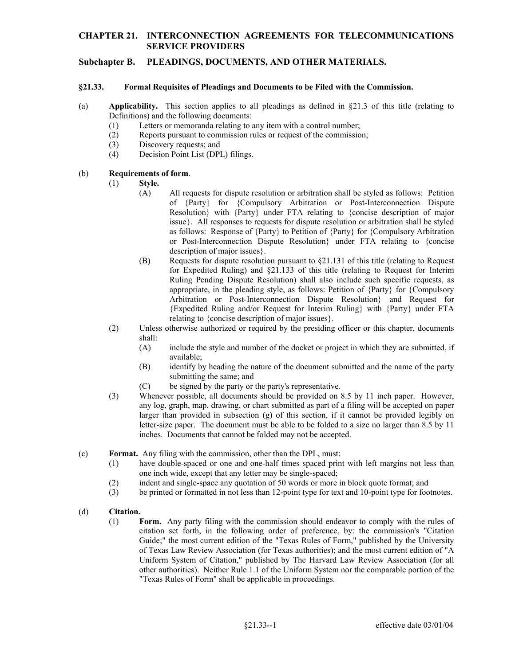## **CHAPTER 21. INTERCONNECTION AGREEMENTS FOR TELECOMMUNICATIONS SERVICE PROVIDERS**

## **Subchapter B. PLEADINGS, DOCUMENTS, AND OTHER MATERIALS.**

#### **§21.33. Formal Requisites of Pleadings and Documents to be Filed with the Commission.**

- (a) **Applicability.** This section applies to all pleadings as defined in §21.3 of this title (relating to Definitions) and the following documents:
	- (1) Letters or memoranda relating to any item with a control number;
	- (2) Reports pursuant to commission rules or request of the commission;
	- (3) Discovery requests; and
	- (4) Decision Point List (DPL) filings.

### (b) **Requirements of form**.

- (1) **Style.** 
	- (A) All requests for dispute resolution or arbitration shall be styled as follows: Petition of {Party} for {Compulsory Arbitration or Post-Interconnection Dispute Resolution} with {Party} under FTA relating to {concise description of major issue}. All responses to requests for dispute resolution or arbitration shall be styled as follows: Response of {Party} to Petition of {Party} for {Compulsory Arbitration or Post-Interconnection Dispute Resolution} under FTA relating to {concise description of major issues}.
	- for Expedited Ruling) and §21.133 of this title (relating to Request for Interim (B) Requests for dispute resolution pursuant to  $\S21.131$  of this title (relating to Request Ruling Pending Dispute Resolution) shall also include such specific requests, as appropriate, in the pleading style, as follows: Petition of {Party} for {Compulsory Arbitration or Post-Interconnection Dispute Resolution} and Request for {Expedited Ruling and/or Request for Interim Ruling} with {Party} under FTA relating to {concise description of major issues}.
- (2) Unless otherwise authorized or required by the presiding officer or this chapter, documents shall:
	- (A) include the style and number of the docket or project in which they are submitted, if available;
	- (B) identify by heading the nature of the document submitted and the name of the party submitting the same; and
	- (C) be signed by the party or the party's representative.
- inches. Documents that cannot be folded may not be accepted. (3) Whenever possible, all documents should be provided on 8.5 by 11 inch paper. However, any log, graph, map, drawing, or chart submitted as part of a filing will be accepted on paper larger than provided in subsection (g) of this section, if it cannot be provided legibly on letter-size paper. The document must be able to be folded to a size no larger than 8.5 by 11
- (c) **Format.** Any filing with the commission, other than the DPL, must:
	- (1) have double-spaced or one and one-half times spaced print with left margins not less than one inch wide, except that any letter may be single-spaced;
	- (2) indent and single-space any quotation of 50 words or more in block quote format; and
	- (3) be printed or formatted in not less than 12-point type for text and 10-point type for footnotes.

### (d) **Citation.**

 (1) **Form.** Any party filing with the commission should endeavor to comply with the rules of citation set forth, in the following order of preference, by: the commission's "Citation Guide;" the most current edition of the "Texas Rules of Form," published by the University of Texas Law Review Association (for Texas authorities); and the most current edition of "A Uniform System of Citation," published by The Harvard Law Review Association (for all other authorities). Neither Rule 1.1 of the Uniform System nor the comparable portion of the "Texas Rules of Form" shall be applicable in proceedings.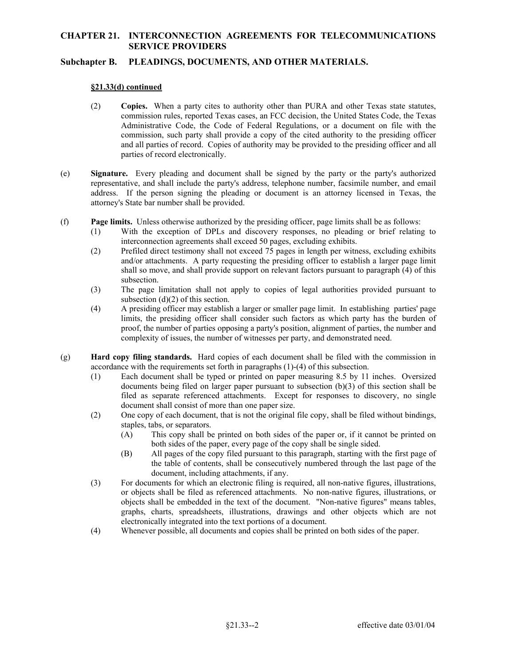# **CHAPTER 21. INTERCONNECTION AGREEMENTS FOR TELECOMMUNICATIONS SERVICE PROVIDERS**

## **Subchapter B. PLEADINGS, DOCUMENTS, AND OTHER MATERIALS.**

#### **§21.33(d) continued**

- (2) **Copies.** When a party cites to authority other than PURA and other Texas state statutes, commission rules, reported Texas cases, an FCC decision, the United States Code, the Texas Administrative Code, the Code of Federal Regulations, or a document on file with the commission, such party shall provide a copy of the cited authority to the presiding officer and all parties of record. Copies of authority may be provided to the presiding officer and all parties of record electronically.
- address. If the person signing the pleading or document is an attorney licensed in Texas, the (e) **Signature.** Every pleading and document shall be signed by the party or the party's authorized representative, and shall include the party's address, telephone number, facsimile number, and email attorney's State bar number shall be provided.
- (f) **Page limits.** Unless otherwise authorized by the presiding officer, page limits shall be as follows:
	- (1) With the exception of DPLs and discovery responses, no pleading or brief relating to interconnection agreements shall exceed 50 pages, excluding exhibits.
	- shall so move, and shall provide support on relevant factors pursuant to paragraph (4) of this (2) Prefiled direct testimony shall not exceed 75 pages in length per witness, excluding exhibits and/or attachments. A party requesting the presiding officer to establish a larger page limit subsection.
	- (3) The page limitation shall not apply to copies of legal authorities provided pursuant to subsection (d)(2) of this section.
	- (4) A presiding officer may establish a larger or smaller page limit. In establishing parties' page limits, the presiding officer shall consider such factors as which party has the burden of proof, the number of parties opposing a party's position, alignment of parties, the number and complexity of issues, the number of witnesses per party, and demonstrated need.
- (g) **Hard copy filing standards.** Hard copies of each document shall be filed with the commission in accordance with the requirements set forth in paragraphs (1)-(4) of this subsection.
	- filed as separate referenced attachments. Except for responses to discovery, no single (1) Each document shall be typed or printed on paper measuring 8.5 by 11 inches. Oversized documents being filed on larger paper pursuant to subsection (b)(3) of this section shall be document shall consist of more than one paper size.
	- (2) One copy of each document, that is not the original file copy, shall be filed without bindings, staples, tabs, or separators.
		- (A) This copy shall be printed on both sides of the paper or, if it cannot be printed on both sides of the paper, every page of the copy shall be single sided.
		- (B) All pages of the copy filed pursuant to this paragraph, starting with the first page of the table of contents, shall be consecutively numbered through the last page of the document, including attachments, if any.
	- objects shall be embedded in the text of the document. "Non-native figures" means tables, (3) For documents for which an electronic filing is required, all non-native figures, illustrations, or objects shall be filed as referenced attachments. No non-native figures, illustrations, or graphs, charts, spreadsheets, illustrations, drawings and other objects which are not electronically integrated into the text portions of a document.
	- (4) Whenever possible, all documents and copies shall be printed on both sides of the paper.